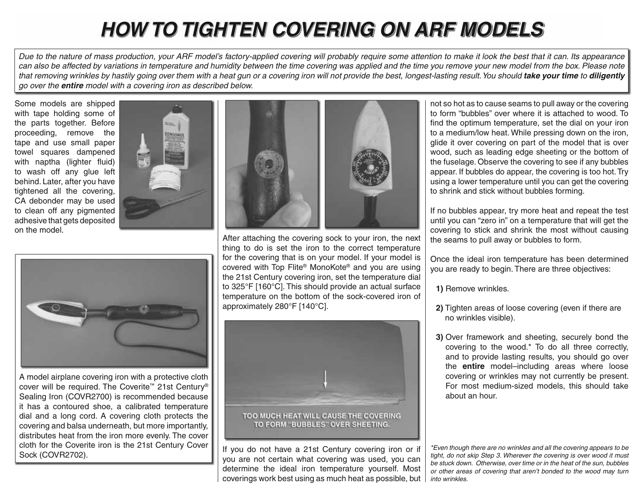## *HOW TO TIGHTEN COVERING ON ARF MODELS OW TIGHTEN ARF MODELS*

*Due to the nature of mass production, your ARF model's factory-applied covering will probably require some attention to make it look the best that it can. Its appearance*  can also be affected by variations in temperature and humidity between the time covering was applied and the time you remove your new model from the box. Please note that removing wrinkles by hastily going over them with a heat gun or a covering iron will not provide the best, longest-lasting result. You should **take your time** to **diligently** *go over the entire model with a covering iron as described below.*

Some models are shipped with tape holding some of the parts together. Before proceeding, remove the tape and use small paper towel squares dampened with naptha (lighter fluid) to wash off any glue left behind. Later, after you have tightened all the covering, CA debonder may be used to clean off any pigmented adhesive that gets deposited on the model.





A model airplane covering iron with a protective cloth cover will be required. The Coverite ™ 21st Century® Sealing Iron (COVR2700) is recommended because it has a contoured shoe, a calibrated temperature dial and a long cord. A covering cloth protects the covering and balsa underneath, but more importantly, distributes heat from the iron more evenly. The cover cloth for the Coverite iron is the 21st Century Cover Sock (COVR2702).



After attaching the covering sock to your iron, the next thing to do is set the iron to the correct temperature for the covering that is on your model. If your model is covered with Top Flite® MonoKote® and you are using the 21st Century covering iron, set the temperature dial to 325°F [160°C]. This should provide an actual surface temperature on the bottom of the sock-covered iron of approximately 280°F [140°C].



TOO MUCH HEAT WILL CAUSE THE COVERING TO FORM "BUBBLES" OVER SHEETING.

If you do not have a 21st Century covering iron or if you are not certain what covering was used, you can determine the ideal iron temperature yourself. Most coverings work best using as much heat as possible, but

not so hot as to cause seams to pull away or the covering to form "bubbles" over where it is attached to wood. To find the optimum temperature, set the dial on your iron to a medium/low heat. While pressing down on the iron, glide it over covering on part of the model that is over wood, such as leading edge sheeting or the bottom of the fuselage. Observe the covering to see if any bubbles appear. If bubbles do appear, the covering is too hot. Try using a lower temperature until you can get the covering to shrink and stick without bubbles forming.

If no bubbles appear, try more heat and repeat the test until you can "zero in" on a temperature that will get the covering to stick and shrink the most without causing the seams to pull away or bubbles to form.

Once the ideal iron temperature has been determined you are ready to begin. There are three objectives:

**1)** Remove wrinkles.

- **2)** Tighten areas of loose covering (even if there are no wrinkles visible).
- **3)** Over framework and sheeting, securely bond the covering to the wood.\* To do all three correctly, and to provide lasting results, you should go over the **entire** model–including areas where loose covering or wrinkles may not currently be present. For most medium-sized models, this should take about an hour.

*\*Even though there are no wrinkles and all the covering appears to be tight, do not skip Step 3. Wherever the covering is over wood it must be stuck down. Otherwise, over time or in the heat of the sun, bubbles or other areas of covering that aren't bonded to the wood may turn into wrinkles.*